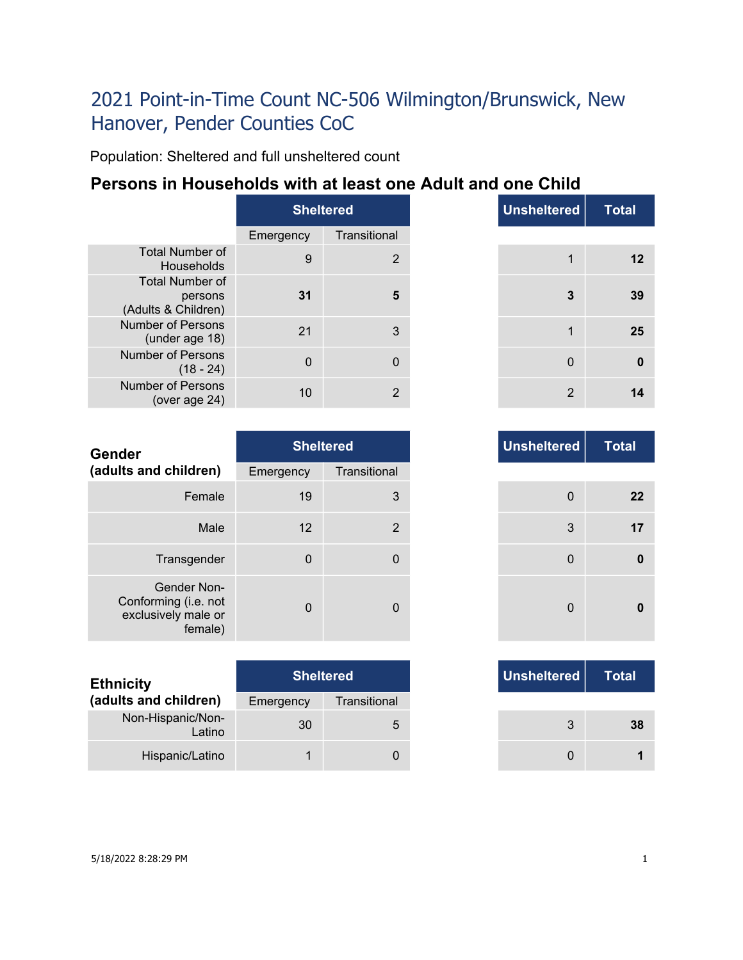Population: Sheltered and full unsheltered count

### **Persons in Households with at least one Adult and one Child**

|                                                          | <b>Sheltered</b> |              |  |
|----------------------------------------------------------|------------------|--------------|--|
|                                                          | Emergency        | Transitional |  |
| <b>Total Number of</b><br>Households                     | 9                | 2            |  |
| <b>Total Number of</b><br>persons<br>(Adults & Children) | 31               |              |  |
| Number of Persons<br>(under age 18)                      | 21               | 3            |  |
| Number of Persons<br>$(18 - 24)$                         | U                |              |  |
| Number of Persons<br>(over age $24$ )                    | 10               | 2            |  |

|          | <b>Sheltered</b> |
|----------|------------------|
|          | Transitional     |
| $9$      | 2                |
| 31       | 5                |
| 21       | 3                |
| $\Omega$ | $\mathbf{0}$     |
| 10       | $\overline{2}$   |

| <b>Gender</b>                                                         |             | <b>Sheltered</b> | <b>Unsheltered</b> |
|-----------------------------------------------------------------------|-------------|------------------|--------------------|
| (adults and children)                                                 | Emergency   | Transitional     |                    |
| Female                                                                | 19          | 3                | $\overline{0}$     |
| Male                                                                  | 12          | $\overline{2}$   | 3                  |
| Transgender                                                           | $\mathbf 0$ | 0                | $\overline{0}$     |
| Gender Non-<br>Conforming (i.e. not<br>exclusively male or<br>female) | $\Omega$    | 0                | $\Omega$           |

| <b>Ethnicity</b>            |           | <b>Sheltered</b> | Unsheltered |
|-----------------------------|-----------|------------------|-------------|
| (adults and children)       | Emergency | Transitional     |             |
| Non-Hispanic/Non-<br>Latino | 30        | 5                | 3           |
| Hispanic/Latino             |           |                  |             |

|          |              | <b>Sheltered</b> |
|----------|--------------|------------------|
|          | Transitional | าcy              |
| 3        |              | 19               |
| 2        |              | 12               |
| 0        |              | $\mathbf{0}$     |
| $\Omega$ |              | $\Omega$         |

|     | <b>Sheltered</b> |  |
|-----|------------------|--|
| ιсγ | Transitional     |  |
| 30  | 5                |  |
|     |                  |  |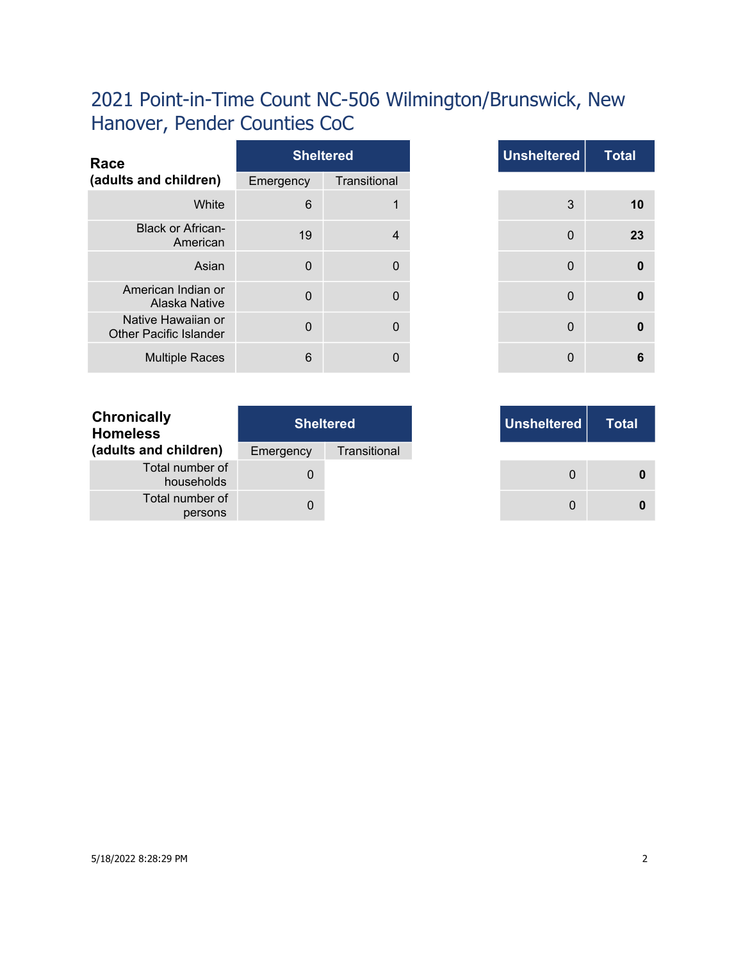| Race                                                |           | <b>Sheltered</b> |
|-----------------------------------------------------|-----------|------------------|
| (adults and children)                               | Emergency | Transitional     |
| White                                               | 6         |                  |
| <b>Black or African-</b><br>American                | 19        | $\overline{4}$   |
| Asian                                               | $\Omega$  | $\Omega$         |
| American Indian or<br>Alaska Native                 | $\Omega$  | $\Omega$         |
| Native Hawaiian or<br><b>Other Pacific Islander</b> | $\Omega$  | $\Omega$         |
| <b>Multiple Races</b>                               | 6         | 0                |

| <b>Total</b> | <b>Unsheltered</b> | <b>Sheltered</b> |                 |
|--------------|--------------------|------------------|-----------------|
|              |                    | Transitional     | าcy             |
|              | 3                  | 1                | $6\phantom{1}6$ |
|              | $\mathbf 0$        | 4                | 19              |
|              | $\mathbf 0$        | 0                | $\mathbf{0}$    |
|              | $\mathbf 0$        | 0                | $\mathbf 0$     |
|              | $\mathbf{0}$       | $\mathbf{0}$     | $\overline{0}$  |
|              | 0                  | 0                | $6\phantom{1}6$ |

|     | <b>Sheltered</b> |
|-----|------------------|
| ٦cγ | Transitional     |
| 0   |                  |
| 0   |                  |

| <b>Chronically</b><br><b>Homeless</b> | <b>Sheltered</b> |              |  |
|---------------------------------------|------------------|--------------|--|
| (adults and children)                 | Emergency        | Transitional |  |
| Total number of<br>households         | $\mathbf{O}$     |              |  |
| Total number of<br>persons            | 0                |              |  |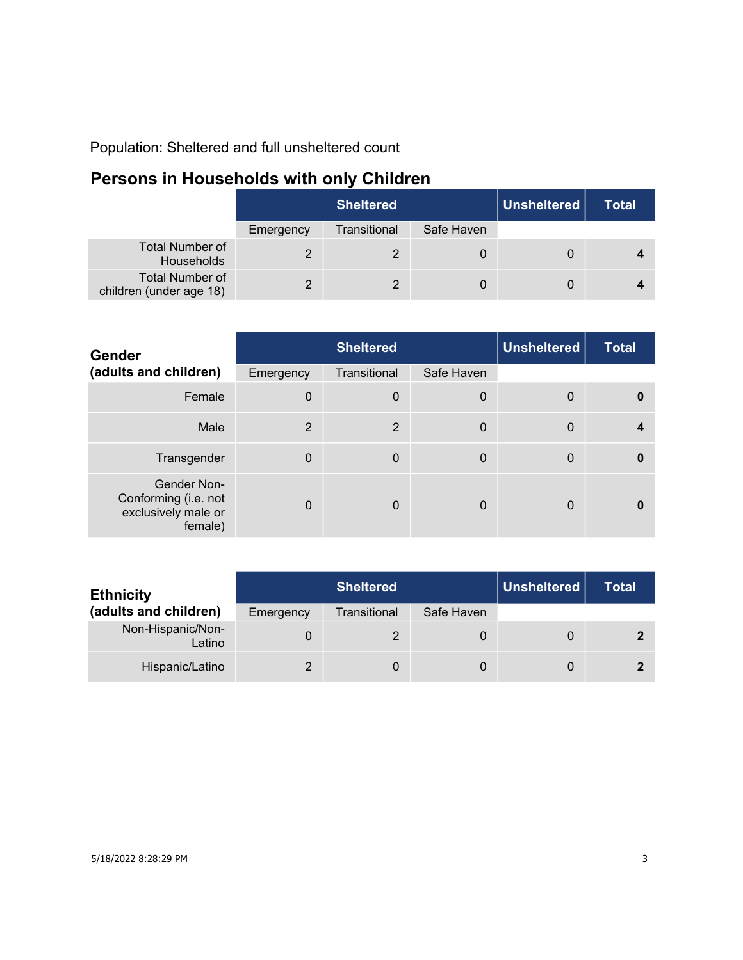Population: Sheltered and full unsheltered count

### **Persons in Households with only Children**

|                                                   | <b>Sheltered</b> |              |            | Unsheltered | <b>Total</b> |
|---------------------------------------------------|------------------|--------------|------------|-------------|--------------|
|                                                   | Emergency        | Transitional | Safe Haven |             |              |
| <b>Total Number of</b><br>Households              |                  |              |            |             |              |
| <b>Total Number of</b><br>children (under age 18) |                  |              | 0          |             |              |

| Gender                                                                | <b>Sheltered</b> |                  |             | <b>Unsheltered</b> | <b>Total</b> |
|-----------------------------------------------------------------------|------------------|------------------|-------------|--------------------|--------------|
| (adults and children)                                                 | Emergency        | Transitional     | Safe Haven  |                    |              |
| Female                                                                | $\Omega$         | $\boldsymbol{0}$ | 0           | 0                  | $\mathbf{0}$ |
| Male                                                                  | 2                | $\overline{2}$   | $\mathbf 0$ | $\mathbf{0}$       |              |
| Transgender                                                           | $\Omega$         | $\mathbf 0$      | 0           | 0                  | $\mathbf{0}$ |
| Gender Non-<br>Conforming (i.e. not<br>exclusively male or<br>female) | $\Omega$         | $\Omega$         | 0           | 0                  | n            |

| <b>Ethnicity</b>            | <b>Sheltered</b> |              |            | Unsheltered | Total |
|-----------------------------|------------------|--------------|------------|-------------|-------|
| (adults and children)       | Emergency        | Transitional | Safe Haven |             |       |
| Non-Hispanic/Non-<br>Latino |                  |              | 0          | 0           |       |
| Hispanic/Latino             |                  |              | 0          | 0           |       |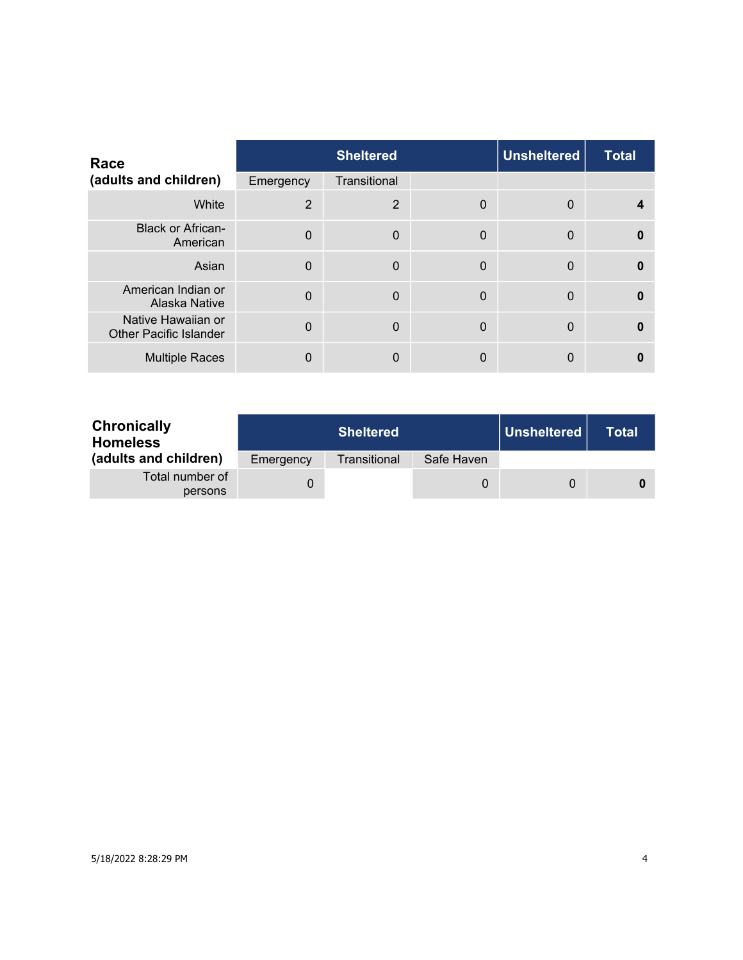| Race                                                |                | <b>Sheltered</b> |             | <b>Unsheltered</b> | <b>Total</b> |
|-----------------------------------------------------|----------------|------------------|-------------|--------------------|--------------|
| (adults and children)                               | Emergency      | Transitional     |             |                    |              |
| White                                               | $\overline{2}$ | $\overline{2}$   | 0           | $\Omega$           |              |
| <b>Black or African-</b><br>American                | $\Omega$       | $\mathbf 0$      | $\mathbf 0$ | $\Omega$           | $\bf{0}$     |
| Asian                                               | $\Omega$       | $\mathbf 0$      | $\mathbf 0$ | $\overline{0}$     | $\Omega$     |
| American Indian or<br>Alaska Native                 | $\overline{0}$ | $\Omega$         | $\Omega$    | $\Omega$           | $\Omega$     |
| Native Hawaiian or<br><b>Other Pacific Islander</b> | $\Omega$       | $\Omega$         | $\Omega$    | $\Omega$           | $\Omega$     |
| <b>Multiple Races</b>                               | 0              | $\mathbf{0}$     | 0           | 0                  |              |

| <b>Chronically</b><br><b>Homeless</b> |           | <b>Sheltered</b> |            | Unsheltered | Total |
|---------------------------------------|-----------|------------------|------------|-------------|-------|
| (adults and children)                 | Emergency | Transitional     | Safe Haven |             |       |
| Total number of<br>persons            |           |                  | O          | $\Omega$    |       |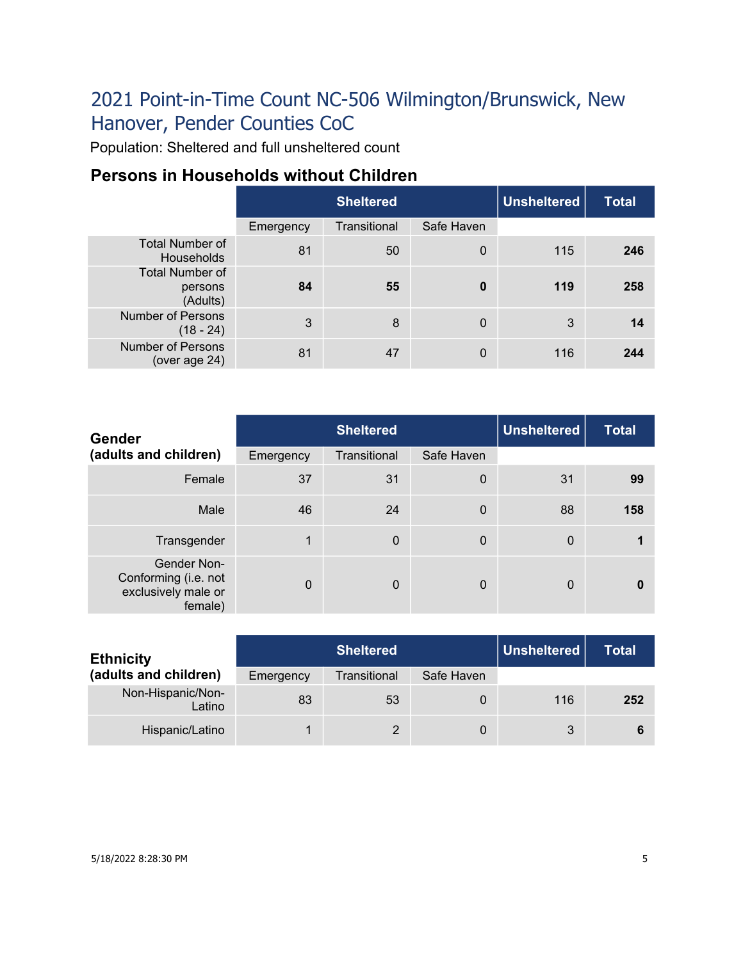Population: Sheltered and full unsheltered count

### **Persons in Households without Children**

|                                               |           | <b>Unsheltered</b><br><b>Sheltered</b> |             |     | <b>Total</b> |
|-----------------------------------------------|-----------|----------------------------------------|-------------|-----|--------------|
|                                               | Emergency | Transitional                           | Safe Haven  |     |              |
| <b>Total Number of</b><br>Households          | 81        | 50                                     | $\mathbf 0$ | 115 | 246          |
| <b>Total Number of</b><br>persons<br>(Adults) | 84        | 55                                     | $\bf{0}$    | 119 | 258          |
| <b>Number of Persons</b><br>$(18 - 24)$       | 3         | 8                                      | $\Omega$    | 3   | 14           |
| <b>Number of Persons</b><br>(over age 24)     | 81        | 47                                     | $\Omega$    | 116 | 244          |

| <b>Gender</b>                                                         | <b>Sheltered</b> |              |             | <b>Unsheltered</b> | <b>Total</b> |
|-----------------------------------------------------------------------|------------------|--------------|-------------|--------------------|--------------|
| (adults and children)                                                 | Emergency        | Transitional | Safe Haven  |                    |              |
| Female                                                                | 37               | 31           | $\mathbf 0$ | 31                 | 99           |
| Male                                                                  | 46               | 24           | $\mathbf 0$ | 88                 | 158          |
| Transgender                                                           | 1                | $\mathbf 0$  | $\mathbf 0$ | $\mathbf 0$        |              |
| Gender Non-<br>Conforming (i.e. not<br>exclusively male or<br>female) | $\Omega$         | $\mathbf 0$  | 0           | $\mathbf{0}$       | $\mathbf{0}$ |

| <b>Ethnicity</b>            | <b>Sheltered</b> |              |            | Unsheltered | <b>Total</b> |
|-----------------------------|------------------|--------------|------------|-------------|--------------|
| (adults and children)       | Emergency        | Transitional | Safe Haven |             |              |
| Non-Hispanic/Non-<br>Latino | 83               | 53           | 0          | 116         | 252          |
| Hispanic/Latino             |                  | 2            |            | 3           |              |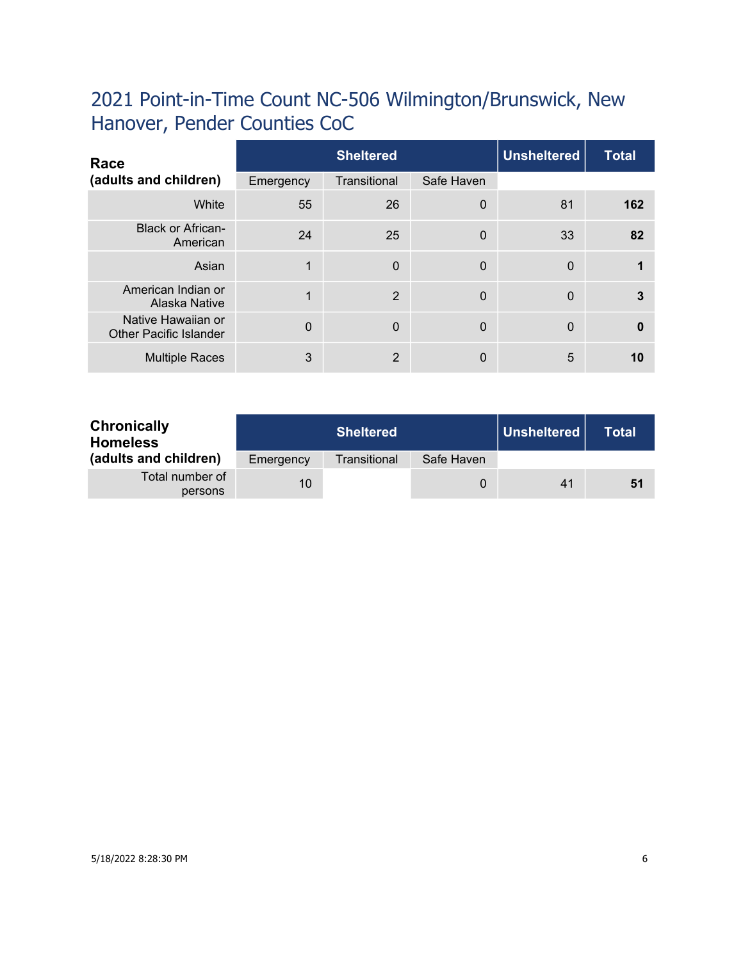| Race                                                |           | <b>Sheltered</b> |             |              | <b>Total</b> |
|-----------------------------------------------------|-----------|------------------|-------------|--------------|--------------|
| (adults and children)                               | Emergency | Transitional     | Safe Haven  |              |              |
| White                                               | 55        | 26               | $\mathbf 0$ | 81           | 162          |
| <b>Black or African-</b><br>American                | 24        | 25               | $\mathbf 0$ | 33           | 82           |
| Asian                                               | 1         | $\mathbf 0$      | $\mathbf 0$ | $\mathbf 0$  |              |
| American Indian or<br>Alaska Native                 | 1         | 2                | $\Omega$    | $\mathbf{0}$ | 3            |
| Native Hawaiian or<br><b>Other Pacific Islander</b> | $\Omega$  | $\Omega$         | $\Omega$    | $\mathbf{0}$ | $\mathbf{0}$ |
| <b>Multiple Races</b>                               | 3         | 2                | 0           | 5            | 10           |

| <b>Chronically</b><br><b>Homeless</b> |           | <b>Sheltered</b> |            | Unsheltered | Total |
|---------------------------------------|-----------|------------------|------------|-------------|-------|
| (adults and children)                 | Emergency | Transitional     | Safe Haven |             |       |
| Total number of<br>persons            | 10        |                  | 0          | 41          | 51    |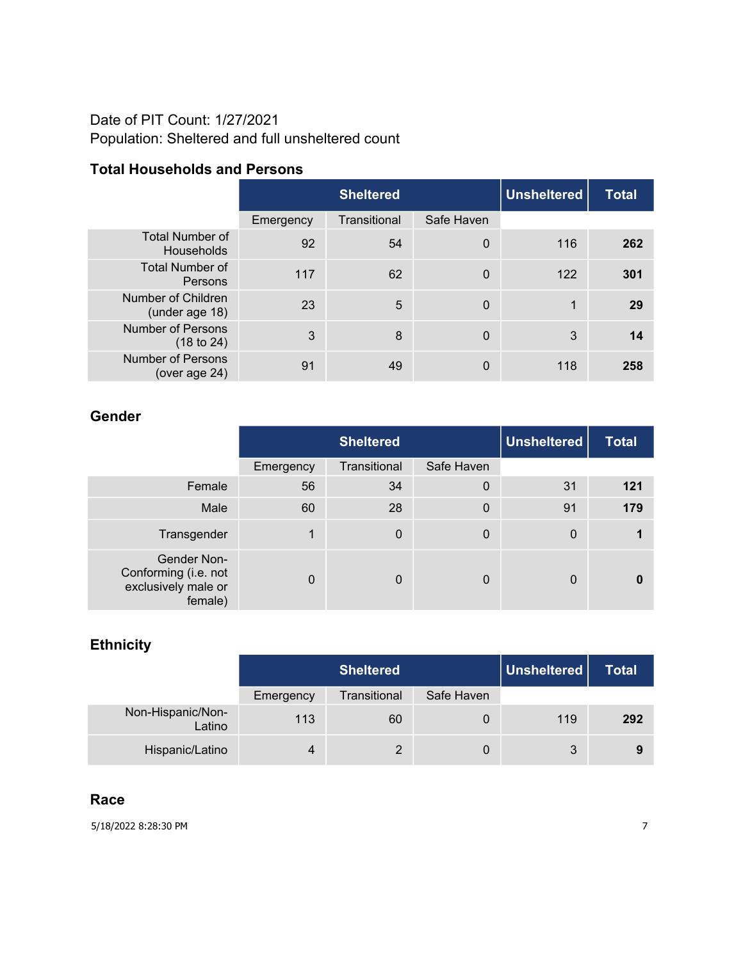#### Date of PIT Count: 1/27/2021 Population: Sheltered and full unsheltered count

#### **Total Households and Persons**

|                                             |           | <b>Unsheltered</b><br><b>Sheltered</b> |             |     | <b>Total</b> |
|---------------------------------------------|-----------|----------------------------------------|-------------|-----|--------------|
|                                             | Emergency | Transitional                           | Safe Haven  |     |              |
| <b>Total Number of</b><br><b>Households</b> | 92        | 54                                     | $\mathbf 0$ | 116 | 262          |
| <b>Total Number of</b><br>Persons           | 117       | 62                                     | $\mathbf 0$ | 122 | 301          |
| Number of Children<br>(under age 18)        | 23        | 5                                      | $\mathbf 0$ | 1   | 29           |
| <b>Number of Persons</b><br>(18 to 24)      | 3         | 8                                      | $\mathbf 0$ | 3   | 14           |
| <b>Number of Persons</b><br>(over age 24)   | 91        | 49                                     | 0           | 118 | 258          |

#### **Gender**

|                                                                       |           | <b>Unsheltered</b><br><b>Sheltered</b> |                  |                  | <b>Total</b> |
|-----------------------------------------------------------------------|-----------|----------------------------------------|------------------|------------------|--------------|
|                                                                       | Emergency | Transitional                           | Safe Haven       |                  |              |
| Female                                                                | 56        | 34                                     | $\boldsymbol{0}$ | 31               | 121          |
| Male                                                                  | 60        | 28                                     | $\mathbf 0$      | 91               | 179          |
| Transgender                                                           | 1         | $\overline{0}$                         | 0                | $\boldsymbol{0}$ |              |
| Gender Non-<br>Conforming (i.e. not<br>exclusively male or<br>female) | $\Omega$  | $\Omega$                               | 0                | 0                |              |

#### **Ethnicity**

|                             |           | <b>Sheltered</b> |            | Unsheltered | Total |
|-----------------------------|-----------|------------------|------------|-------------|-------|
|                             | Emergency | Transitional     | Safe Haven |             |       |
| Non-Hispanic/Non-<br>Latino | 113       | 60               | 0          | 119         | 292   |
| Hispanic/Latino             | 4         |                  | 0          | 3           | 9     |

#### **Race**

5/18/2022 8:28:30 PM 7